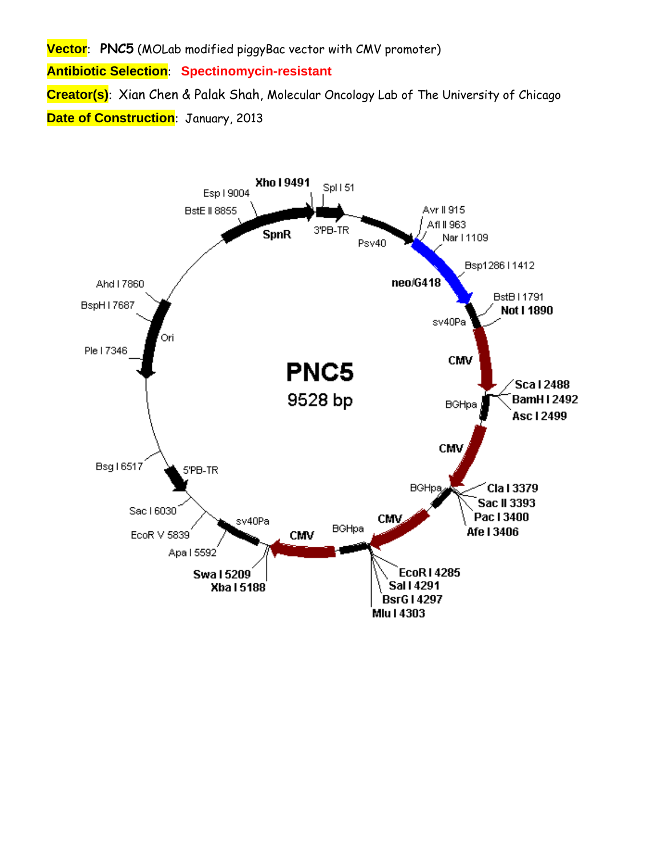**Vector**: **PNC5** (MOLab modified piggyBac vector with CMV promoter) **Antibiotic Selection**: **Spectinomycin-resistant Creator(s)**: Xian Chen & Palak Shah, Molecular Oncology Lab of The University of Chicago **Date of Construction**: January, 2013

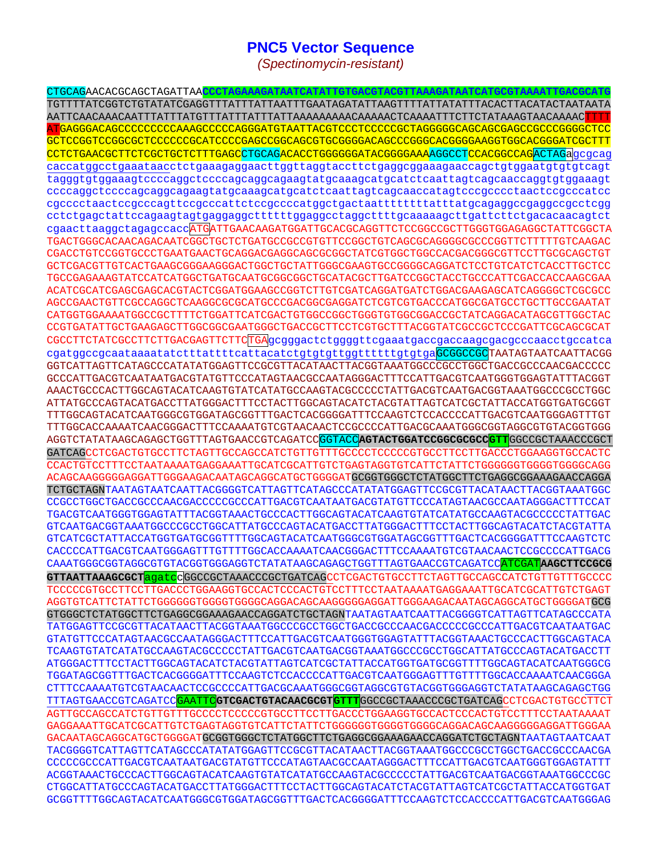## **PNC5 Vector Sequence**

*(Spectinomycin-resistant)* 

CTGCAGAACACGCAGCTAGATTAA**CCCTAGAAAGATAATCATATTGTGACGTACGTTAAAGATAATCATGCGTAAAATTGACGCATG** TGTTTTATCGGTCTGTATATCGAGGTTTATTTATTAATTTGAATAGATATTAAGTTTTATTATATTTACACTTACATACTAATAATA AATTCAACAAACAATTTATTTATGTTTATTTATTTATTAAAAAAAAACAAAAACTCAAAATTTCTTCTATAAAGTAACAAAACTTTT ATGAGGGACAGCCCCCCCCCAAAGCCCCCAGGGATGTAATTACGTCCCTCCCCCGCTAGGGGGCAGCAGCGAGCCGCCCGGGGCTCC GCTCCGGTCCGGCGCTCCCCCCGCATCCCCGAGCCGGCAGCGTGCGGGGACAGCCCGGGCACGGGGAAGGTGGCACGGGATCGCTTT CCTCTGAACGCTTCTCGCTGCTCTTTGAGCCTGCAGACACCTGGGGGGATACGGGGAAAAGGCCTCCACGCCAGACTAGaqcqcaq caccatggcctgaaataacctctgaaagaggaacttggttaggtaccttctgaggcggaaagaaccagctgtggaatgtgtgtcagt tagggtgtggaaagtccccaggctccccagcaggcagaagtatgcaaagcatgcatctcaattagtcagcaaccaggtgtggaaagt ccccaggctccccagcaggcagaagtatgcaaagcatgcatctcaattagtcagcaaccatagtcccgcccctaactccgcccatcc cgcccctaactccgcccagttccgcccattctccgccccatggctgactaattttttttatttatgcagaggccgaggccgcctcgg cctctgagctattccagaagtagtgaggaggcttttttggaggcctaggcttttgcaaaaagcttgattcttctgacacaacagtct cgaacttaaggctagagccaccATGATTGAACAAGATGGATTGCACGCAGGTTCTCCGGCCGCTTGGGTGGAGAGGCTATTCGGCTA TGACTGGGCACAACAGACAATCGGCTGCTCTGATGCCGCCGTGTTCCGGCTGTCAGCGCAGGGGCGCCCGGTTCTTTTTGTCAAGAC CGACCTGTCCGGTGCCCTGAATGAACTGCAGGACGAGGCAGCGCGGCTATCGTGGCTGGCCACGACGGGCGTTCCTTGCGCAGCTGT GCTCGACGTTGTCACTGAAGCGGGAAGGGACTGGCTGCTATTGGGCGAAGTGCCGGGGCAGGATCTCCTGTCATCTCACCTTGCTCC TGCCGAGAAAGTATCCATCATGGCTGATGCAATGCGGCGGCTGCATACGCTTGATCCGGCTACCTGCCCATTCGACCACCAAGCGAA ACATCGCATCGAGCGAGCACGTACTCGGATGGAAGCCGGTCTTGTCGATCAGGATGATCTGGACGAAGAGCATCAGGGGCTCGCGCC AGCCGAACTGTTCGCCAGGCTCAAGGCGCGCATGCCCGACGGCGAGGATCTCGTCGTGACCCATGGCGATGCCTGCTTGCCGAATAT CATGGTGGAAAATGGCCGCTTTTCTGGATTCATCGACTGTGGCCGGCTGGGTGTGGCGGACCGCTATCAGGACATAGCGTTGGCTAC CCGTGATATTGCTGAAGAGCTTGGCGGCGAATGGGCTGACCGCTTCCTCGTGCTTTACGGTATCGCCGCTCCCGATTCGCAGCGCAT CGCCTTCTATCGCCTTCTTGACGAGTTCTTCTGAgcgggactctggggttcgaaatgaccgaccaagcgacgcccaacctgccatca cgatggccgcaataaaatatctttattttcattacatctgtgtgttggttttttgtgtgaGCGGCCGCTAATAGTAATCAATTACGG GGTCATTAGTTCATAGCCCATATATGGAGTTCCGCGTTACATAACTTACGGTAAATGGCCCGCCTGGCTGACCGCCCAACGACCCCC GCCCATTGACGTCAATAATGACGTATGTTCCCATAGTAACGCCAATAGGGACTTTTCCATTGACGTCAATGGGTGAGTATTTTACGGT AAACTGCCCACTTGGCAGTACATCAAGTGTATCATATGCCAAGTACGCCCCCTATTGACGTCAATGACGGTAAATGGCCCGCCTGGC ATTATGCCCAGTACATGACCTTATGGGACTTTCCTACTTGGCAGTACATCTACGTATTAGTCATCGCTATTACCATGGTGATGCGGT TTTGGCAGTACATCAATGGGCGTGGATAGCGGTTTGACTCACGGGGATTTCCAAGTCTCCACCCCATTGACGTCAATGGGAGTTTGT TTTGGCACCAAAATCAACGGGACTTTCCAAAATGTCGTAACAACTCCGCCCCATTGACGCAAATGGGCGGTAGGCGTGTACGGTGGG AGGTCTATATAAGCAGAGCTGGTTTAGTGAACCGTCAGATCCGGTACC**AGTACTGGATCCGGCGCGCCGTT**GGCCGCTAAACCCGCT GATCAGCCTCGACTGTGCCTTCTAGTTGCCAGCCATCTGTTGTTTGCCCCTCCCCCGTGCCTTCCTTGACCCTGGAAGGTGCCACTC CCACTGTCCTTTCCTAATAAAATGAGGAAATTGCATCGCATTGTCTGAGTAGGTGTCATTCTATTCTGGGGGGTGGGGTGGGGCAGG ACAGCAAGGGGGAGGATTGGGAAGACAATAGCAGGCATGCTGGGGATGCGGTGGGCTCTATGGCTTCTGAGGCGGAAAGAACCAGGA TCTGCTAGNTAATAGTAATCAATTACGGGGTCATTAGTTCATAGCCCATATATGGAGTTCCGCGTTACATAACTTACGGTAAATGGC CCGCCTGGCTGACCGCCCAACGACCCCCGCCCATTGACGTCAATAATGACGTATGTTCCCATAGTAACGCCAATAGGGACTTTCCAT TGACGTCAATGGGTGGAGTATTTACGGTAAACTGCCCACTTGGCAGTACATCAAGTGTATCATATGCCAAGTACGCCCCCTATTGAC GTCAATGACGGTAAATGGCCCGCCTGGCATTATGCCCAGTACATGACCTTATGGGACTTTCCTACTTGGCAGTACATCTACGTATTA GTCATCGCTATTACCATGGTGATGCGGTTTTGGCAGTACATCAATGGGCGTGGATAGCGGTTTGACTCACGGGGATTTCCAAGTCTC CACCCCATTGACGTCAATGGGAGTTTGTTTTGGCACCAAAATCAACGGGACTTTCCAAAATGTCGTAACAACTCCGCCCCATTGACG CAAATGGGCGGTAGGCGTGTACGGTGGGAGGTCTATATAAGCAGAGCTGGTTTAGTGAACCGTCAGATCCATCGAT**AAGCTTCCGCG GTTAATTAAAGCGCT**agatccGGCCGCTAAACCCGCTGATCAGCCTCGACTGTGCCTTCTAGTTGCCAGCCATCTGTTGTTTGCCCC TCCCCCGTGCCTTCCTTGACCCTGGAAGGTGCCACTCCCACTGTCCTTTCCTAATAAAATGAGGAAATTGCATCGCATTGTCTGAGT AGGTGTCATTCTATTCTGGGGGGTGGGGTGGGGCAGGACAGCAAGGGGGAGGATTGGGAAGACAATAGCAGGCATGCTGGGGATGCG GTGGGCTCTATGGCTTCTGAGGCGGAAAGAACCAGGATCTGCTAGNTAATAGTAATCAATTACGGGGTCATTAGTTCATAGCCCATA TATGGAGTTCCGCGTTACATAACTTACGGTAAATGGCCCGCCTGGCTGACCGCCCAACGACCCCCGCCCATTGACGTCAATAATGAC GTATGTTCCCATAGTAACGCCAATAGGGACTTTCCATTGACGTCAATGGGTGGAGTATTTACGGTAAACTGCCCACTTGGCAGTACA TCAAGTGTATCATATGCCAAGTACGCCCCCTATTGACGTCAATGACGGTAAATGGCCCGCCTGGCATTATGCCCAGTACATGACCTT ATGGGACTTTCCTACTTGGCAGTACATCTACGTATTAGTCATCGCTATTACCATGGTGATGCGGTTTTGGCAGTACATCAATGGGCG TGGATAGCGGTTTGACTCACGGGGATTTCCAAGTCTCCACCCCATTGACGTCAATGGGAGTTTGTTTTGGCACCAAAATCAACGGGA CTTTCCAAAATGTCGTAACAACTCCGCCCCATTGACGCAAATGGGCGGTAGGCGTGTACGGTGGGAGGTCTATATAAGCAGAGCTGG TTTAGTGAACCGTCAGATCCGAATTC**GTCGACTGTACAACGCGTGTTT**GGCCGCTAAACCCGCTGATCAGCCTCGACTGTGCCTTCT AGTTGCCAGCCATCTGTTGTTTGCCCCTCCCCCGTGCCTTCCTTGACCCTGGAAGGTGCCACTCCCACTGTCCTTTCCTAATAAAAT GAGGAAATTGCATCGCATTGTCTGAGTAGGTGTCATTCTATTCTGGGGGGTGGGGTGGGGCAGGACAGCAAGGGGGAGGATTGGGAA GACAATAGCAGGCATGCTGGGGATGCGGTGGGCTCTATGGCTTCTGAGGCGGAAAGAACCAGGATCTGCTAGNTAATAGTAATCAAT TACGGGGTCATTAGTTCATAGCCCATATATGGAGTTCCGCGTTACATAACTTACGGTAAATGGCCCGCCTGGCTGACCGCCCAACGA CCCCCGCCCATTGACGTCAATAATGACGTATGTTCCCATAGTAACGCCAATAGGGACTTTCCATTGACGTCAATGGGTGGAGTATTT ACGGTAAACTGCCCACTTGGCAGTACATCAAGTGTATCATATGCCAAGTACGCCCCCTATTGACGTCAATGACGGTAAATGGCCCGC CTGGCATTATGCCCAGTACATGACCTTATGGGACTTTCCTACTTGGCAGTACATCTACGTATTAGTCATCGCTATTACCATGGTGAT GCGGTTTTGGCAGTACATCAATGGGCGTGGATAGCGGTTTGACTCACGGGGATTTCCAAGTCTCCACCCCATTGACGTCAATGGGAG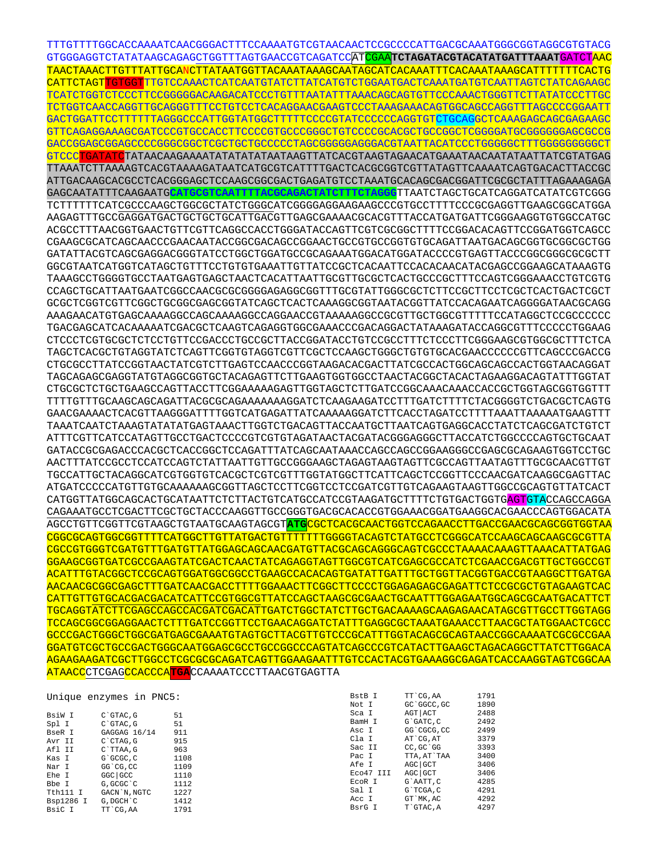TTTGTTTTGGCACCAAAATCAACGGGACTTTCCAAAATGTCGTAACAACTCCGCCCCATTGACGCAAATGGGCGGTAGGCGTGTACG GTGGGAGGTCTATATAAGCAGAGCTGGTTTAGTGAACCGTCAGATCCATCGAA**TCTAGATACGTACATATGATTTAAAT**GATCTAAC TAACTAAACTTGTTTATTGCANCTTATAATGGTTACAAATAAAGCAATAGCATCACAAATTTCACAAATAAAGCATTTTTTTCACTG CATTCTAGTTGTGGTTTGTCCAAACTCATCAATGTATCTTATCATGTCTGGAATGACTCAAATGATGTCAATTAGTCTATCAGAAGC TCATCTGGTCTCCCTTCCGGGGGACAAGACATCCCTGTTTAATATTTAAACAGCAGTGTTCCCAAACTGGGTTCTTATATCCCTTGC TCTGGTCAACCAGGTTGCAGGGTTTCCTGTCCTCACAGGAACGAAGTCCCTAAAGAAACAGTGGCAGCCAGGTTTAGCCCCGGAATT GACTGGATTCCTTTTTTAGGGCCCATTGGTATGGCTTTTTCCCCGTATCCCCCCAGGTGTCTGCAGGCTCAAAGAGCAGCGAGAAGC GTTCAGAGGAAAGCGATCCCGTGCCACCTTCCCCGTGCCCGGGCTGTCCCCGCACGCTGCCGGCTCGGGGATGCGGGGGGAGCGCCG GACCGGAGCGGAGCCCCGGGCGGCTCGCTGCTGCCCCCTAGCGGGGGAGGGACGTAATTACATCCCTGGGGGCTTTGGGGGGGGGCT GTCCCTGATATCTATAACAAGAAAATATATATATAATAAGTTATCACGTAAGTAGAACATGAAATAACAATATAATTATCGTATGAG TTAAATCTTAAAAGTCACGTAAAAGATAATCATGCGTCATTTTGACTCACGCGGTCGTTATAGTTCAAAATCAGTGACACTTACCGC ATTGACAAGCACGCCTCACGGGAGCTCCAAGCGGCGACTGAGATGTCCTAAATGCACAGCGACGGATTCGCGCTATTTAGAAAGAGA GAGCAATATTTCAAGAATG**CATGCGTCAATTTTACGCAGACTATCTTTCTAGGG**TTAATCTAGCTGCATCAGGATCATATCGTCGGG TCTTTTTTCATCGCCCAAGCTGGCGCTATCTGGGCATCGGGGAGGAAGAAGCCCGTGCCTTTTCCCGCGAGGTTGAAGCGGCATGGA AAGAGTTTGCCGAGGATGACTGCTGCTGCATTGACGTTGAGCGAAAACGCACGTTTACCATGATGATTCGGGAAGGTGTGGCCATGC ACGCCTTTAACGGTGAACTGTTCGTTCAGGCCACCTGGGATACCAGTTCGTCGCGGCTTTTCCGGACACAGTTCCGGATGGTCAGCC CGAAGCGCATCAGCAACCCGAACAATACCGGCGACAGCCGGAACTGCCGTGCCGGTGTGCAGATTAATGACAGCGGTGCGGCGCTGG GATATTACGTCAGCGAGGACGGGTATCCTGGCTGGATGCCGCAGAAATGGACATGGATACCCCGTGAGTTACCCGGCGGGCGCGCTT GGCGTAATCATGGTCATAGCTGTTTCCTGTGTGAAATTGTTATCCGCTCACAATTCCACACAACATACGAGCCGGAAGCATAAAGTG TAAAGCCTGGGGTGCCTAATGAGTGAGCTAACTCACATTAATTGCGTTGCGCTCACTGCCCGCTTTCCAGTCGGGAAACCTGTCGTG CCAGCTGCATTAATGAATCGGCCAACGCGCGGGGAGAGGCGGTTTGCGTATTGGGCGCTCTTCCGCTTCCTCGCTCACTGACTCGCT GCGCTCGGTCGTTCGGCTGCGGCGAGCGGTATCAGCTCACTCAAAGGCGGTAATACGGTTATCCACAGAATCAGGGGATAACGCAGG AAAGAACATGTGAGCAAAAGGCCAGCAAAAGGCCAGGAACCGTAAAAAGGCCGCGTTGCTGGCGTTTTTCCATAGGCTCCGCCCCCC TGACGAGCATCACAAAAATCGACGCTCAAGTCAGAGGTGGCGAAACCCGACAGGACTATAAAGATACCAGGCGTTTCCCCCTGGAAG CTCCCTCGTGCGCTCTCCTGTTCCGACCCTGCCGCTTACCGGATACCTGTCCGCCTTTCTCCCTTCGGGAAGCGTGGCGCTTTCTCA TAGCTCACGCTGTAGGTATCTCAGTTCGGTGTAGGTCGTTCGCTCCAAGCTGGGCTGTGTGCACGAACCCCCCGTTCAGCCCGACCG CTGCGCCTTATCCGGTAACTATCGTCTTGAGTCCAACCCGGTAAGACACGACTTATCGCCACTGGCAGCAGCCACTGGTAACAGGAT TAGCAGAGCGAGGTATGTAGGCGGTGCTACAGAGTTCTTGAAGTGGTGGCCTAACTACGGCTACACTAGAAGGACAGTATTTGGTAT CTGCGCTCTGCTGAAGCCAGTTACCTTCGGAAAAAGAGTTGGTAGCTCTTGATCCGGCAAACAAACCACCGCTGGTAGCGGTGGTTT TTTTGTTTGCAAGCAGCAGATTACGCGCAGAAAAAAAGGATCTCAAGAAGATCCTTTGATCTTTTCTACGGGGTCTGACGCTCAGTG GAACGAAAACTCACGTTAAGGGATTTTGGTCATGAGATTATCAAAAAGGATCTTCACCTAGATCCTTTTAAATTAAAAATGAAGTTT TAAATCAATCTAAAGTATATATGAGTAAACTTGGTCTGACAGTTACCAATGCTTAATCAGTGAGGCACCTATCTCAGCGATCTGTCT ATTTCGTTCATCCATAGTTGCCTGACTCCCCGTCGTGTAGATAACTACGATACGGGAGGGCTTACCATCTGGCCCCAGTGCTGCAAT GATACCGCGAGACCCACGCTCACCGGCTCCAGATTTATCAGCAATAAACCAGCCAGCCGGAAGGGCCGAGCGCAGAAGTGGTCCTGC AACTTTATCCGCCTCCATCCAGTCTATTAATTGTTGCCGGGAAGCTAGAGTAAGTAGTTCGCCAGTTAATAGTTTGCGCAACGTTGT TGCCATTGCTACAGGCATCGTGGTGTCACGCTCGTCGTTTGGTATGGCTTCATTCAGCTCCGGTTCCCAACGATCAAGGCGAGTTAC ATGATCCCCCATGTTGTGCAAAAAAGCGGTTAGCTCCTTCGGTCCTCCGATCGTTGTCAGAAGTAAGTTGGCCGCAGTGTTATCACT CATGGTTATGGCAGCACTGCATAATTCTCTTACTGTCATGCCATCCGTAAGATGCTTTTCTGTGACTGGTGAGTGTACCAGCCAGGA CAGAAATGCCTCGACTTCGCTGCTACCCAAGGTTGCCGGGTGACGCACACCGTGGAAACGGATGAAGGCACGAACCCAGTGGACATA AGCCTGTTCGGTTCGTAAGCTGTAATGCAAGTAGCGT**ATG**CGCTCACGCAACTGGTCCAGAACCTTGACCGAACGCAGCGGTGGTAA CGGCGCAGTGGCGGTTTTCATGGCTTGTTATGACTGTTTTTTTGGGGTACAGTCTATGCCTCGGGCATCCAAGCAGCAAGCGCGTTA CGCCGTGGGTCGATGTTTGATGTTATGGAGCAGCAACGATGTTACGCAGCAGGGCAGTCGCCCTAAAACAAAGTTAAACATTATGAG GGAAGCGGTGATCGCCGAAGTATCGACTCAACTATCAGAGGTAGTTGGCGTCATCGAGCGCCATCTCGAACCGACGTTGCTGGCCGT ACATTTGTACGGCTCCGCAGTGGATGGCGGCCTGAAGCCACACAGTGATATTGATTTGCTGGTTACGGTGACCGTAAGGCTTGATGA AACAACGCGGCGAGCTTTGATCAACGACCTTTTGGAAACTTCGGCTTCCCCTGGAGAGAGCGAGATTCTCCGCGCTGTAGAAGTCAC CATTGTTGTGCACGACGACATCATTCCGTGGCGTTATCCAGCTAAGCGCGAACTGCAATTTGGAGAATGGCAGCGCAATGACATTCT TGCAGGTATCTTCGAGCCAGCCACGATCGACATTGATCTGGCTATCTTGCTGACAAAAGCAAGAGAACATAGCGTTGCCTTGGTAGG TCCAGCGGCGGAGGAACTCTTTGATCCGGTTCCTGAACAGGATCTATTTGAGGCGCTAAATGAAACCTTAACGCTATGGAACTCGCC GCCCGACTGGGCTGGCGATGAGCGAAATGTAGTGCTTACGTTGTCCCGCATTTGGTACAGCGCAGTAACCGGCAAAATCGCGCCGAA GGATGTCGCTGCCGACTGGGCAATGGAGCGCCTGCCGGCCCAGTATCAGCCCGTCATACTTGAAGCTAGACAGGCTTATCTTGGACA AGAAGAAGATCGCTTGGCCTCGCGCGCAGATCAGTTGGAAGAATTTGTCCACTACGTGAAAGGCGAGATCACCAAGGTAGTCGGCAA ATAACCCTCGAGCCACCCA**TGA**CCAAAATCCCTTAACGTGAGTTA

|           | Unique enzymes in PNC5: |      | BstB I    | TT CG.AA    | 1791 |
|-----------|-------------------------|------|-----------|-------------|------|
|           |                         |      | Not I     | GC GGCC, GC | 1890 |
| BsiW I    | $C$ $GTAC$ , $G$        | 51   | Sca I     | AGT ACT     | 2488 |
| Spl I     | C`GTAC, G               | 51   | BamH I    | G`GATC.C    | 2492 |
| BseR I    | GAGGAG 16/14            | 911  | Asc I     | GG CGCG, CC | 2499 |
| Avr II    | $C$ $CTAG$ , $G$        | 915  | Cla I     | AT CG.AT    | 3379 |
| Afl II    | $C$ TTAA.G              | 963  | Sac II    | CC.GC GG    | 3393 |
| Kas I     | G`GCGC.C                | 1108 | Pac I     | TTA, AT`TAA | 3400 |
| Nar I     | GG CG, CC               | 1109 | Afe I     | AGC GCT     | 3406 |
| Ehe I     | $GGC$ $GCC$             | 1110 | Eco47 III | AGC GCT     | 3406 |
| Bbe I     | G, GCGC C               | 1112 | ECOR I    | G`AATT, C   | 4285 |
| Tth111 I  | GACN N. NGTC            | 1227 | Sal I     | G`TCGA.C    | 4291 |
| Bsp1286 I | G, DGCH C               | 1412 | Acc I     | GT MK, AC   | 4292 |
| ReiC T    | TT'CG AA                | 1791 | BsrG I    | T`GTAC.A    | 4297 |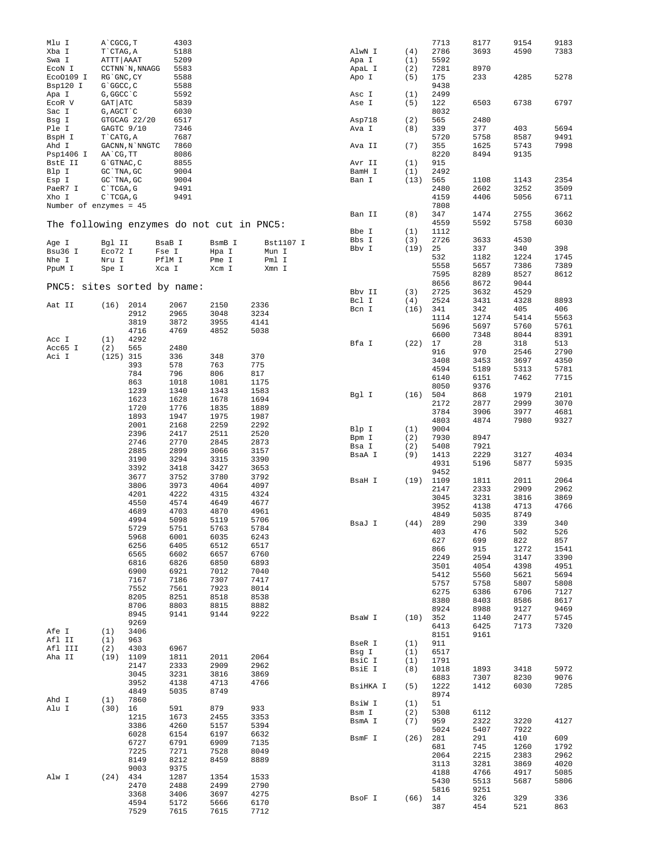| Mlu I                                     | A`CGCG, T                |                 | 4303         |              |              |                 |            | 7713         | 8177         | 9154         | 9183         |
|-------------------------------------------|--------------------------|-----------------|--------------|--------------|--------------|-----------------|------------|--------------|--------------|--------------|--------------|
| Xba I<br>Swa I                            | T CTAG, A<br>ATTT   AAAT |                 | 5188<br>5209 |              |              | AlwN I<br>Apa I | (4)<br>(1) | 2786<br>5592 | 3693         | 4590         | 7383         |
| ECON I                                    |                          | CCTNN `N, NNAGG | 5583         |              |              | ApaL I          | (2)        | 7281         | 8970         |              |              |
| Eco0109 I                                 | RG`GNC, CY               |                 | 5588         |              |              | Apo I           | (5)        | 175          | 233          | 4285         | 5278         |
| Bsp120 I                                  | G`GGCC, C                |                 | 5588         |              |              |                 |            | 9438         |              |              |              |
| Apa I                                     | G, GGCC `C               |                 | 5592         |              |              | Asc I           | (1)        | 2499         |              |              |              |
| ECOR V                                    | GAT ATC                  |                 | 5839         |              |              | Ase I           | (5)        | 122          | 6503         | 6738         | 6797         |
| Sac I                                     | G, AGCT `C               |                 | 6030         |              |              |                 |            | 8032         |              |              |              |
| Bsg I                                     |                          | GTGCAG 22/20    | 6517         |              |              | Asp718          | (2)        | 565          | 2480         |              |              |
| Ple I                                     | GAGTC 9/10               |                 | 7346<br>7687 |              |              | Ava I           | (8)        | 339          | 377          | 403          | 5694         |
| BspH I<br>Ahd I                           | T CATG, A                | GACNN, N`NNGTC  | 7860         |              |              | Ava II          | (7)        | 5720<br>355  | 5758<br>1625 | 8587<br>5743 | 9491<br>7998 |
| Psp1406 I                                 | AA`CG, TT                |                 | 8086         |              |              |                 |            | 8220         | 8494         | 9135         |              |
| BstE II                                   | G`GTNAC, C               |                 | 8855         |              |              | Avr II          | (1)        | 915          |              |              |              |
| Blp I                                     | GC `TNA, GC              |                 | 9004         |              |              | BamH I          | (1)        | 2492         |              |              |              |
| Esp I                                     | GC TNA, GC               |                 | 9004         |              |              | Ban I           | (13)       | 565          | 1108         | 1143         | 2354         |
| PaeR7 I                                   | C`TCGA, G                |                 | 9491         |              |              |                 |            | 2480         | 2602         | 3252         | 3509         |
| Xho I                                     | C`TCGA, G                |                 | 9491         |              |              |                 |            | 4159         | 4406         | 5056         | 6711         |
| Number of enzymes = 45                    |                          |                 |              |              |              | Ban II          | (8)        | 7808<br>347  | 1474         | 2755         | 3662         |
| The following enzymes do not cut in PNC5: |                          |                 |              |              |              |                 |            | 4559         | 5592         | 5758         | 6030         |
|                                           |                          |                 |              |              |              | Bbe I           | (1)        | 1112         |              |              |              |
| Age I                                     | Bgl II                   |                 | BsaB I       | BsmB I       | Bst1107 I    | Bbs I           | (3)        | 2726         | 3633         | 4530         |              |
| Bsu36 I                                   | Eco72 I                  |                 | Fse I        | Hpa I        | Mun I        | Bbv I           | (19)       | 25           | 337          | 340          | 398          |
| Nhe I                                     | Nru I                    |                 | PflM I       | Pme I        | Pml I        |                 |            | 532          | 1182         | 1224         | 1745         |
| PpuM I                                    | Spe I                    |                 | Xca I        | Xcm I        | Xmn I        |                 |            | 5558         | 5657         | 7386         | 7389         |
|                                           |                          |                 |              |              |              |                 |            | 7595         | 8289         | 8527         | 8612         |
| PNC5: sites sorted by name:               |                          |                 |              |              |              |                 |            | 8656         | 8672         | 9044         |              |
|                                           |                          |                 |              |              |              | Bbv II<br>Bcl I | (3)<br>(4) | 2725<br>2524 | 3632<br>3431 | 4529<br>4328 | 8893         |
| Aat II                                    | (16)                     | 2014            | 2067         | 2150         | 2336         | Bcn I           | (16)       | 341          | 342          | 405          | 406          |
|                                           |                          | 2912            | 2965         | 3048         | 3234         |                 |            | 1114         | 1274         | 5414         | 5563         |
|                                           |                          | 3819            | 3872         | 3955         | 4141         |                 |            | 5696         | 5697         | 5760         | 5761         |
|                                           |                          | 4716            | 4769         | 4852         | 5038         |                 |            | 6600         | 7348         | 8044         | 8391         |
| Acc I<br>Acc65 I                          | (1)<br>(2)               | 4292<br>565     | 2480         |              |              | Bfa I           | (22)       | 17           | 28           | 318          | 513          |
| Aci I                                     | $(125)$ 315              |                 | 336          | 348          | 370          |                 |            | 916          | 970          | 2546         | 2790         |
|                                           |                          | 393             | 578          | 763          | 775          |                 |            | 3408         | 3453         | 3697         | 4350         |
|                                           |                          | 784             | 796          | 806          | 817          |                 |            | 4594         | 5189         | 5313         | 5781         |
|                                           |                          | 863             | 1018         | 1081         | 1175         |                 |            | 6140<br>8050 | 6151<br>9376 | 7462         | 7715         |
|                                           |                          | 1239            | 1340         | 1343         | 1583         | Bgl I           | (16)       | 504          | 868          | 1979         | 2101         |
|                                           |                          | 1623            | 1628         | 1678         | 1694         |                 |            | 2172         | 2877         | 2999         | 3070         |
|                                           |                          | 1720            | 1776         | 1835         | 1889         |                 |            | 3784         | 3906         | 3977         | 4681         |
|                                           |                          | 1893            | 1947         | 1975         | 1987         |                 |            | 4803         | 4874         | 7980         | 9327         |
|                                           |                          | 2001<br>2396    | 2168<br>2417 | 2259<br>2511 | 2292<br>2520 | Blp I           | (1)        | 9004         |              |              |              |
|                                           |                          | 2746            | 2770         | 2845         | 2873         | Bpm I           | (2)        | 7930         | 8947         |              |              |
|                                           |                          | 2885            | 2899         | 3066         | 3157         | Bsa I           | (2)        | 5408         | 7921         |              |              |
|                                           |                          | 3190            | 3294         | 3315         | 3390         | BsaA I          | (9)        | 1413<br>4931 | 2229<br>5196 | 3127<br>5877 | 4034<br>5935 |
|                                           |                          | 3392            | 3418         | 3427         | 3653         |                 |            | 9452         |              |              |              |
|                                           |                          | 3677            | 3752         | 3780         | 3792         | BsaH I          | (19)       | 1109         | 1811         | 2011         | 2064         |
|                                           |                          | 3806            | 3973         | 4064         | 4097         |                 |            | 2147         | 2333         | 2909         | 2962         |
|                                           |                          | 4201            | 4222         | 4315         | 4324         |                 |            | 3045         | 3231         | 3816         | 3869         |
|                                           |                          | 4550<br>4689    | 4574<br>4703 | 4649<br>4870 | 4677<br>4961 |                 |            | 3952         | 4138         | 4713         | 4766         |
|                                           |                          | 4994            | 5098         | 5119         | 5706         |                 |            | 4849         | 5035         | 8749         |              |
|                                           |                          | 5729            | 5751         | 5763         | 5784         | BsaJ I          | (44)       | 289          | 290          | 339          | 340          |
|                                           |                          | 5968            | 6001         | 6035         | 6243         |                 |            | 403<br>627   | 476<br>699   | 502<br>822   | 526<br>857   |
|                                           |                          | 6256            | 6405         | 6512         | 6517         |                 |            | 866          | 915          | 1272         | 1541         |
|                                           |                          | 6565            | 6602         | 6657         | 6760         |                 |            | 2249         | 2594         | 3147         | 3390         |
|                                           |                          | 6816            | 6826         | 6850         | 6893         |                 |            | 3501         | 4054         | 4398         | 4951         |
|                                           |                          | 6900<br>7167    | 6921<br>7186 | 7012<br>7307 | 7040<br>7417 |                 |            | 5412         | 5560         | 5621         | 5694         |
|                                           |                          | 7552            | 7561         | 7923         | 8014         |                 |            | 5757         | 5758         | 5807         | 5808         |
|                                           |                          | 8205            | 8251         | 8518         | 8538         |                 |            | 6275         | 6386         | 6706         | 7127         |
|                                           |                          | 8706            | 8803         | 8815         | 8882         |                 |            | 8380         | 8403         | 8586         | 8617         |
|                                           |                          | 8945            | 9141         | 9144         | 9222         | BsaW I          | (10)       | 8924<br>352  | 8988<br>1140 | 9127<br>2477 | 9469<br>5745 |
|                                           |                          | 9269            |              |              |              |                 |            | 6413         | 6425         | 7173         | 7320         |
| Afe I                                     | (1)                      | 3406            |              |              |              |                 |            | 8151         | 9161         |              |              |
| Afl II                                    | (1)                      | 963             |              |              |              | BseR I          | (1)        | 911          |              |              |              |
| Afl III<br>Aha II                         | (2)                      | 4303            | 6967         |              |              | Bsg I           | (1)        | 6517         |              |              |              |
|                                           | (19)                     | 1109<br>2147    | 1811<br>2333 | 2011<br>2909 | 2064<br>2962 | BsiC I          | (1)        | 1791         |              |              |              |
|                                           |                          | 3045            | 3231         | 3816         | 3869         | BsiE I          | (8)        | 1018         | 1893         | 3418         | 5972         |
|                                           |                          | 3952            | 4138         | 4713         | 4766         |                 |            | 6883         | 7307         | 8230         | 9076         |
|                                           |                          | 4849            | 5035         | 8749         |              | BsiHKA I        | (5)        | 1222<br>8974 | 1412         | 6030         | 7285         |
| Ahd I                                     | (1)                      | 7860            |              |              |              | BsiW I          | (1)        | 51           |              |              |              |
| Alu I                                     | (30)                     | 16              | 591          | 879          | 933          | Bsm I           | (2)        | 5308         | 6112         |              |              |
|                                           |                          | 1215            | 1673         | 2455         | 3353         | BsmA I          | (7)        | 959          | 2322         | 3220         | 4127         |
|                                           |                          | 3386            | 4260         | 5157<br>6197 | 5394<br>6632 |                 |            | 5024         | 5407         | 7922         |              |
|                                           |                          | 6028<br>6727    | 6154<br>6791 | 6909         | 7135         | BsmF I          | (26)       | 281          | 291          | 410          | 609          |
|                                           |                          | 7225            | 7271         | 7528         | 8049         |                 |            | 681          | 745          | 1260         | 1792         |
|                                           |                          | 8149            | 8212         | 8459         | 8889         |                 |            | 2064         | 2215         | 2383         | 2962         |
|                                           |                          | 9003            | 9375         |              |              |                 |            | 3113<br>4188 | 3281<br>4766 | 3869<br>4917 | 4020<br>5085 |
| Alw I                                     | (24)                     | 434             | 1287         | 1354         | 1533         |                 |            | 5430         | 5513         | 5687         | 5806         |
|                                           |                          | 2470            | 2488         | 2499         | 2790         |                 |            | 5816         | 9251         |              |              |
|                                           |                          | 3368            | 3406         | 3697         | 4275         | BsoF I          | (66)       | 14           | 326          | 329          | 336          |
|                                           |                          | 4594            | 5172         | 5666         | 6170         |                 |            | 387          | 454          | 521          | 863          |
|                                           |                          | 7529            | 7615         | 7615         | 7712         |                 |            |              |              |              |              |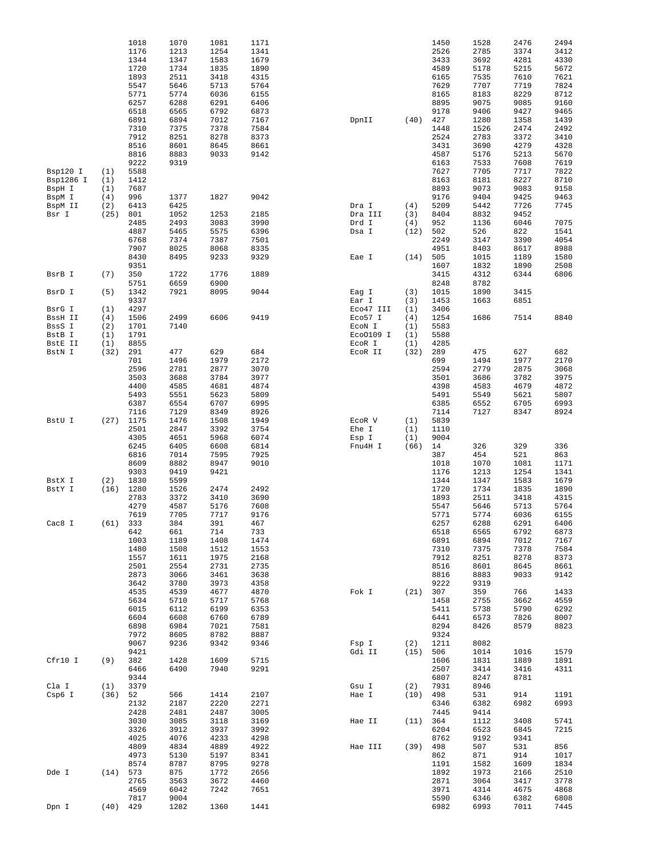|           |            | 1018       | 1070         | 1081 | 1171 |           |      | 1450         | 1528         | 2476         | 2494         |
|-----------|------------|------------|--------------|------|------|-----------|------|--------------|--------------|--------------|--------------|
|           |            | 1176       | 1213         | 1254 | 1341 |           |      | 2526         | 2785         | 3374         | 3412         |
|           |            | 1344       | 1347         | 1583 | 1679 |           |      | 3433         | 3692         | 4281         | 4330         |
|           |            | 1720       | 1734         | 1835 | 1890 |           |      | 4589         | 5178         | 5215         | 5672         |
|           |            | 1893       | 2511         | 3418 | 4315 |           |      | 6165         | 7535         | 7610         | 7621         |
|           |            | 5547       | 5646         | 5713 | 5764 |           |      | 7629         | 7707         | 7719         | 7824         |
|           |            | 5771       | 5774         | 6036 | 6155 |           |      | 8165         | 8183         | 8229         | 8712         |
|           |            | 6257       | 6288         | 6291 | 6406 |           |      | 8895         | 9075         | 9085         | 9160         |
|           |            | 6518       | 6565         | 6792 | 6873 |           |      | 9178         | 9406         | 9427         | 9465         |
|           |            | 6891       | 6894         | 7012 | 7167 | DpnII     | (40) | 427          | 1280         | 1358         | 1439         |
|           |            | 7310       | 7375         | 7378 | 7584 |           |      | 1448         | 1526         | 2474         | 2492         |
|           |            | 7912       | 8251         | 8278 | 8373 |           |      | 2524         | 2783         | 3372         | 3410         |
|           |            | 8516       | 8601         | 8645 | 8661 |           |      | 3431         | 3690         | 4279         | 4328         |
|           |            | 8816       | 8883         | 9033 | 9142 |           |      | 4587         | 5176         | 5213         | 5670         |
|           |            | 9222       | 9319         |      |      |           |      | 6163         | 7533         | 7608         | 7619         |
| Bsp120 I  | (1)        | 5588       |              |      |      |           |      | 7627         | 7705         | 7717         | 7822         |
| Bsp1286 I | (1)        | 1412       |              |      |      |           |      | 8163         | 8181         | 8227         | 8710         |
| BspH I    | (1)        | 7687       |              |      |      |           |      | 8893         | 9073         | 9083         | 9158         |
| BspM I    | (4)        | 996        | 1377         | 1827 | 9042 |           |      | 9176         | 9404         | 9425         | 9463         |
| BspM II   | (2)        | 6413       | 6425         |      |      | Dra I     | (4)  | 5209         | 5442         | 7726         | 7745         |
| Bsr I     | (25)       | 801        | 1052         | 1253 | 2185 | Dra III   | (3)  | 8404         | 8832         | 9452         |              |
|           |            | 2485       | 2493         | 3083 | 3990 | Drd I     | (4)  | 952          | 1136         | 6046         | 7075         |
|           |            | 4887       | 5465         | 5575 | 6396 | Dsa I     | (12) | 502          | 526          | 822          | 1541         |
|           |            | 6768       | 7374         | 7387 | 7501 |           |      | 2249         | 3147         | 3390         | 4054         |
|           |            | 7907       | 8025         | 8068 | 8335 |           |      | 4951         | 8403         | 8617         | 8988         |
|           |            | 8430       | 8495         | 9233 | 9329 | Eae I     | (14) | 505          | 1015         | 1189         | 1580         |
|           |            | 9351       |              |      |      |           |      | 1607         | 1832         | 1890         | 2508         |
| BsrB I    | (7)        | 350        | 1722         | 1776 | 1889 |           |      | 3415         | 4312         | 6344         | 6806         |
|           |            | 5751       | 6659         | 6900 |      |           |      | 8248         | 8782         |              |              |
| BsrD I    | (5)        | 1342       | 7921         | 8095 | 9044 | Eag I     | (3)  | 1015         | 1890         | 3415         |              |
|           |            | 9337       |              |      |      | Ear I     | (3)  | 1453         | 1663         | 6851         |              |
| BsrG I    | (1)        | 4297       |              |      |      | Eco47 III | (1)  | 3406         |              |              |              |
| BssH II   | (4)        | 1506       | 2499         | 6606 | 9419 | Eco57 I   | (4)  | 1254         | 1686         | 7514         | 8840         |
| BssS I    | (2)        | 1701       | 7140         |      |      | ECON I    | (1)  | 5583         |              |              |              |
| BstB I    | (1)        | 1791       |              |      |      | Eco0109 I | (1)  | 5588         |              |              |              |
| BstE II   | (1)        | 8855       |              |      |      | EcoR I    | (1)  | 4285         |              |              |              |
| BstN I    | (32)       | 291        | 477          | 629  | 684  | ECOR II   | (32) | 289          | 475          | 627          | 682          |
|           |            | 701        | 1496         | 1979 | 2172 |           |      | 699          | 1494         | 1977         | 2170         |
|           |            | 2596       | 2781         | 2877 | 3070 |           |      | 2594         | 2779         | 2875         | 3068         |
|           |            | 3503       | 3688         | 3784 | 3977 |           |      | 3501         | 3686         | 3782         | 3975         |
|           |            | 4400       | 4585         | 4681 | 4874 |           |      | 4398         | 4583         | 4679         | 4872         |
|           |            | 5493       | 5551         | 5623 | 5809 |           |      | 5491         | 5549         | 5621         | 5807         |
|           |            | 6387       | 6554         | 6707 | 6995 |           |      | 6385         | 6552         | 6705         | 6993         |
|           |            | 7116       | 7129         | 8349 | 8926 |           |      | 7114         | 7127         | 8347         | 8924         |
| BstU I    | (27)       | 1175       | 1476         | 1508 | 1949 | ECOR V    | (1)  | 5839         |              |              |              |
|           |            | 2501       | 2847         | 3392 | 3754 | Ehe I     | (1)  | 1110         |              |              |              |
|           |            | 4305       | 4651         | 5968 | 6074 | Esp I     | (1)  | 9004         |              |              |              |
|           |            | 6245       | 6405         | 6608 | 6814 | Fnu4H I   | (66) | 14           | 326          | 329          | 336          |
|           |            | 6816       | 7014         | 7595 | 7925 |           |      | 387          | 454          | 521          | 863          |
|           |            | 8609       | 8882         | 8947 | 9010 |           |      | 1018         | 1070         | 1081         | 1171         |
|           |            | 9303       | 9419         | 9421 |      |           |      | 1176         | 1213         | 1254         | 1341         |
| BstX I    | (2)        | 1830       | 5599         |      |      |           |      | 1344         | 1347         | 1583         | 1679         |
| BstY I    | (16)       | 1280       | 1526         | 2474 | 2492 |           |      | 1720         | 1734         | 1835         | 1890         |
|           |            | 2783       | 3372         | 3410 | 3690 |           |      | 1893         | 2511         | 3418         | 4315         |
|           |            | 4279       | 4587         | 5176 | 7608 |           |      | 5547         | 5646         | 5713         | 5764         |
|           |            | 7619       | 7705         | 7717 | 9176 |           |      | 5771         | 5774         | 6036         | 6155         |
| Cac8 I    |            | $(61)$ 333 | 384          | 391  | 467  |           |      | 6257         | 6288         | 6291         | 6406         |
|           |            | 642        | 661          | 714  | 733  |           |      | 6518         | 6565         | 6792         | 6873         |
|           |            | 1003       | 1189         | 1408 | 1474 |           |      | 6891         | 6894         | 7012         | 7167         |
|           |            | 1480       | 1508         | 1512 | 1553 |           |      | 7310         | 7375         | 7378         | 7584         |
|           |            | 1557       | 1611         | 1975 | 2168 |           |      | 7912         | 8251         | 8278         | 8373         |
|           |            | 2501       | 2554         | 2731 | 2735 |           |      | 8516         | 8601         | 8645         | 8661         |
|           |            | 2873       | 3066         | 3461 | 3638 |           |      | 8816         | 8883         | 9033         | 9142         |
|           |            | 3642       |              |      |      |           |      |              |              |              |              |
|           |            |            | 3780         | 3973 | 4358 |           |      | 9222         | 9319         |              |              |
|           |            | 4535       | 4539         | 4677 | 4870 | Fok I     | (21) | 307          | 359          | 766          | 1433         |
|           |            | 5634       | 5710         | 5717 | 5768 |           |      | 1458         | 2755         | 3662         | 4559         |
|           |            | 6015       | 6112         | 6199 | 6353 |           |      | 5411         | 5738         | 5790         | 6292         |
|           |            | 6604       | 6608         | 6760 | 6789 |           |      | 6441         | 6573         | 7826         | 8007         |
|           |            | 6898       | 6984         | 7021 | 7581 |           |      | 8294         | 8426         | 8579         | 8823         |
|           |            | 7972       | 8605         | 8782 | 8887 |           |      | 9324         |              |              |              |
|           |            | 9067       | 9236         | 9342 | 9346 | Fsp I     | (2)  | 1211         | 8082         |              |              |
|           |            | 9421       |              |      |      | Gdi II    | (15) | 506          | 1014         | 1016         | 1579         |
| Cfr10 I   | (9)        | 382        | 1428         | 1609 | 5715 |           |      | 1606         | 1831         | 1889         | 1891         |
|           |            | 6466       | 6490         | 7940 | 9291 |           |      | 2507         | 3414         | 3416         | 4311         |
|           |            | 9344       |              |      |      |           |      | 6807         | 8247         | 8781         |              |
| Cla I     | (1)        | 3379       |              |      |      | Gsu I     | (2)  | 7931         | 8946         |              |              |
| Csp6 I    | (36)       | 52         | 566          | 1414 | 2107 | Hae I     | (10) | 498          | 531          | 914          | 1191         |
|           |            | 2132       | 2187         | 2220 | 2271 |           |      | 6346         | 6382         | 6982         | 6993         |
|           |            | 2428       | 2481         | 2487 | 3005 |           |      | 7445         | 9414         |              |              |
|           |            | 3030       | 3085         | 3118 | 3169 | Hae II    | (11) | 364          | 1112         | 3408         | 5741         |
|           |            | 3326       | 3912         | 3937 | 3992 |           |      | 6204         | 6523         | 6845         | 7215         |
|           |            | 4025       | 4076         | 4233 | 4298 |           |      | 8762         | 9192         | 9341         |              |
|           |            | 4809       | 4834         | 4889 | 4922 | Hae III   | (39) | 498          | 507          | 531          | 856          |
|           |            | 4973       | 5130         | 5197 | 8341 |           |      | 862          | 871          | 914          | 1017         |
|           |            | 8574       | 8787         | 8795 | 9278 |           |      | 1191         | 1582         | 1609         | 1834         |
| Dde I     | (14)       | 573        | 875          | 1772 | 2656 |           |      | 1892         | 1973         | 2166         | 2510         |
|           |            | 2765       | 3563         | 3672 | 4460 |           |      | 2871         | 3064         | 3417         | 3778         |
|           |            | 4569       | 6042         | 7242 | 7651 |           |      | 3971         | 4314         | 4675         | 4868         |
| Dpn I     | $(40)$ 429 | 7817       | 9004<br>1282 | 1360 | 1441 |           |      | 5590<br>6982 | 6346<br>6993 | 6382<br>7011 | 6808<br>7445 |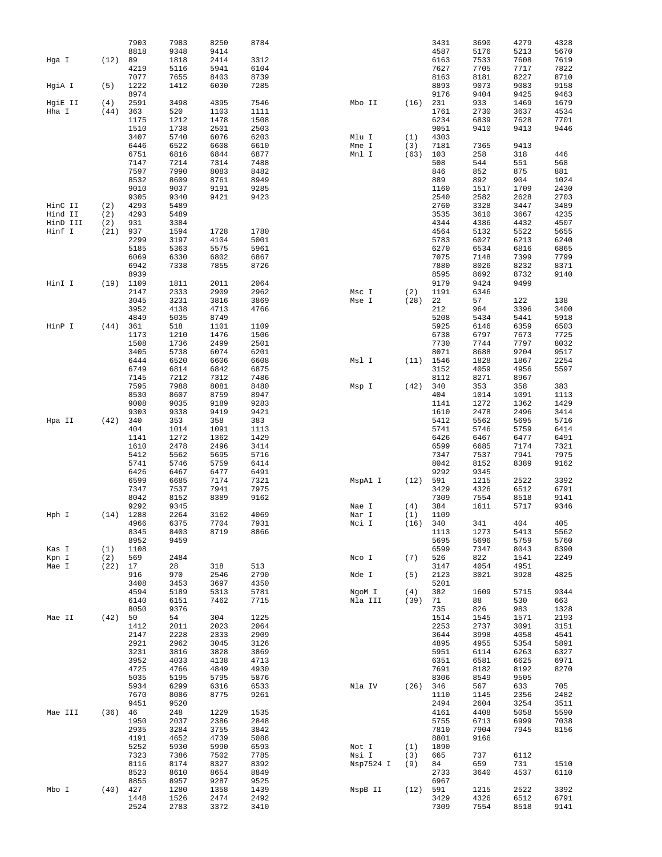|          |             | 7903         | 7983         | 8250         | 8784         |                |            | 3431         | 3690         | 4279         | 4328         |
|----------|-------------|--------------|--------------|--------------|--------------|----------------|------------|--------------|--------------|--------------|--------------|
|          |             | 8818         | 9348         | 9414         |              |                |            | 4587         | 5176         | 5213         | 5670         |
| Hga I    | (12)        | 89           | 1818         | 2414         | 3312         |                |            | 6163         | 7533         | 7608         | 7619         |
|          |             | 4219         | 5116         | 5941         | 6104         |                |            | 7627         | 7705         | 7717         | 7822         |
| HgiA I   | (5)         | 7077<br>1222 | 7655<br>1412 | 8403<br>6030 | 8739<br>7285 |                |            | 8163<br>8893 | 8181<br>9073 | 8227<br>9083 | 8710<br>9158 |
|          |             | 8974         |              |              |              |                |            | 9176         | 9404         | 9425         | 9463         |
| HgiE II  | (4)         | 2591         | 3498         | 4395         | 7546         | Mbo II         | (16)       | 231          | 933          | 1469         | 1679         |
| Hha I    | (44)        | 363          | 520          | 1103         | 1111         |                |            | 1761         | 2730         | 3637         | 4534         |
|          |             | 1175         | 1212         | 1478         | 1508         |                |            | 6234         | 6839         | 7628         | 7701         |
|          |             | 1510<br>3407 | 1738         | 2501<br>6076 | 2503<br>6203 |                |            | 9051         | 9410         | 9413         | 9446         |
|          |             | 6446         | 5740<br>6522 | 6608         | 6610         | Mlu I<br>Mme I | (1)<br>(3) | 4303<br>7181 | 7365         | 9413         |              |
|          |             | 6751         | 6816         | 6844         | 6877         | Mnl I          | (63)       | 103          | 258          | 318          | 446          |
|          |             | 7147         | 7214         | 7314         | 7488         |                |            | 508          | 544          | 551          | 568          |
|          |             | 7597         | 7990         | 8083         | 8482         |                |            | 846          | 852          | 875          | 881          |
|          |             | 8532         | 8609         | 8761         | 8949         |                |            | 889          | 892          | 904          | 1024         |
|          |             | 9010         | 9037         | 9191         | 9285         |                |            | 1160         | 1517         | 1709         | 2430         |
| HinC II  | (2)         | 9305<br>4293 | 9340<br>5489 | 9421         | 9423         |                |            | 2540<br>2760 | 2582<br>3328 | 2628<br>3447 | 2703<br>3489 |
| Hind II  | (2)         | 4293         | 5489         |              |              |                |            | 3535         | 3610         | 3667         | 4235         |
| HinD III | (2)         | 931          | 3384         |              |              |                |            | 4344         | 4386         | 4432         | 4507         |
| Hinf I   | (21)        | 937          | 1594         | 1728         | 1780         |                |            | 4564         | 5132         | 5522         | 5655         |
|          |             | 2299         | 3197         | 4104         | 5001         |                |            | 5783         | 6027         | 6213         | 6240         |
|          |             | 5185         | 5363         | 5575         | 5961         |                |            | 6270         | 6534         | 6816         | 6865         |
|          |             | 6069<br>6942 | 6330<br>7338 | 6802<br>7855 | 6867<br>8726 |                |            | 7075<br>7880 | 7148<br>8026 | 7399<br>8232 | 7799<br>8371 |
|          |             | 8939         |              |              |              |                |            | 8595         | 8692         | 8732         | 9140         |
| HinI I   | (19)        | 1109         | 1811         | 2011         | 2064         |                |            | 9179         | 9424         | 9499         |              |
|          |             | 2147         | 2333         | 2909         | 2962         | Msc I          | (2)        | 1191         | 6346         |              |              |
|          |             | 3045         | 3231         | 3816         | 3869         | Mse I          | (28)       | 22           | 57           | 122          | 138          |
|          |             | 3952         | 4138         | 4713         | 4766         |                |            | 212          | 964          | 3396         | 3400         |
|          |             | 4849         | 5035         | 8749         |              |                |            | 5208         | 5434         | 5441         | 5918         |
| HinP I   | (44)        | 361<br>1173  | 518<br>1210  | 1101<br>1476 | 1109<br>1506 |                |            | 5925<br>6738 | 6146<br>6797 | 6359<br>7673 | 6503<br>7725 |
|          |             | 1508         | 1736         | 2499         | 2501         |                |            | 7730         | 7744         | 7797         | 8032         |
|          |             | 3405         | 5738         | 6074         | 6201         |                |            | 8071         | 8688         | 9204         | 9517         |
|          |             | 6444         | 6520         | 6606         | 6608         | Msl I          | (11)       | 1546         | 1828         | 1867         | 2254         |
|          |             | 6749         | 6814         | 6842         | 6875         |                |            | 3152         | 4059         | 4956         | 5597         |
|          |             | 7145         | 7212         | 7312         | 7486         |                |            | 8112         | 8271         | 8967         |              |
|          |             | 7595         | 7988         | 8081         | 8480         | Msp I          | (42)       | 340          | 353          | 358          | 383          |
|          |             | 8530<br>9008 | 8607<br>9035 | 8759<br>9189 | 8947<br>9283 |                |            | 404<br>1141  | 1014<br>1272 | 1091<br>1362 | 1113<br>1429 |
|          |             | 9303         | 9338         | 9419         | 9421         |                |            | 1610         | 2478         | 2496         | 3414         |
| Hpa II   | (42)        | 340          | 353          | 358          | 383          |                |            | 5412         | 5562         | 5695         | 5716         |
|          |             | 404          | 1014         | 1091         | 1113         |                |            | 5741         | 5746         | 5759         | 6414         |
|          |             | 1141         | 1272         | 1362         | 1429         |                |            | 6426         | 6467         | 6477         | 6491         |
|          |             | 1610         | 2478         | 2496         | 3414         |                |            | 6599         | 6685         | 7174         | 7321         |
|          |             | 5412         | 5562         | 5695         | 5716         |                |            | 7347         | 7537         | 7941         | 7975         |
|          |             | 5741<br>6426 | 5746<br>6467 | 5759<br>6477 | 6414<br>6491 |                |            | 8042<br>9292 | 8152<br>9345 | 8389         | 9162         |
|          |             | 6599         | 6685         | 7174         | 7321         | MspAl I        | (12)       | 591          | 1215         | 2522         | 3392         |
|          |             | 7347         | 7537         | 7941         | 7975         |                |            | 3429         | 4326         | 6512         | 6791         |
|          |             | 8042         | 8152         | 8389         | 9162         |                |            | 7309         | 7554         | 8518         | 9141         |
|          |             | 9292         | 9345         |              |              | Nae I          | (4)        | 384          | 1611         | 5717         | 9346         |
| Hph I    | $(14)$ 1288 |              | 2264         | 3162         | 4069         | Nar I          | (1)        | 1109         |              |              |              |
|          |             | 4966         | 6375         | 7704         | 7931         | Nci I          | (16)       | 340          | 341          | 404          | 405          |
|          |             | 8345<br>8952 | 8403<br>9459 | 8719         | 8866         |                |            | 1113<br>5695 | 1273<br>5696 | 5413<br>5759 | 5562<br>5760 |
| Kas I    | (1)         | 1108         |              |              |              |                |            | 6599         | 7347         | 8043         | 8390         |
| Kpn I    | (2)         | 569          | 2484         |              |              | Nco I          | (7)        | 526          | 822          | 1541         | 2249         |
| Mae I    | (22)        | 17           | 28           | 318          | 513          |                |            | 3147         | 4054         | 4951         |              |
|          |             | 916          | 970          | 2546         | 2790         | Nde I          | (5)        | 2123         | 3021         | 3928         | 4825         |
|          |             | 3408         | 3453         | 3697         | 4350         |                |            | 5201         |              |              |              |
|          |             | 4594         | 5189         | 5313         | 5781         | NgoM I         | (4)        | 382          | 1609         | 5715         | 9344         |
|          |             | 6140<br>8050 | 6151<br>9376 | 7462         | 7715         | Nla III        | (39)       | 71<br>735    | 88<br>826    | 530<br>983   | 663<br>1328  |
| Mae II   | (42)        | 50           | 54           | 304          | 1225         |                |            | 1514         | 1545         | 1571         | 2193         |
|          |             | 1412         | 2011         | 2023         | 2064         |                |            | 2253         | 2737         | 3091         | 3151         |
|          |             | 2147         | 2228         | 2333         | 2909         |                |            | 3644         | 3998         | 4058         | 4541         |
|          |             | 2921         | 2962         | 3045         | 3126         |                |            | 4895         | 4955         | 5354         | 5891         |
|          |             | 3231         | 3816         | 3828         | 3869         |                |            | 5951         | 6114         | 6263         | 6327         |
|          |             | 3952         | 4033         | 4138         | 4713         |                |            | 6351         | 6581         | 6625         | 6971         |
|          |             | 4725<br>5035 | 4766<br>5195 | 4849<br>5795 | 4930         |                |            | 7691<br>8306 | 8182<br>8549 | 8192<br>9505 | 8270         |
|          |             | 5934         | 6299         | 6316         | 5876<br>6533 | Nla IV         | (26)       | 346          | 567          | 633          | 705          |
|          |             | 7670         | 8086         | 8775         | 9261         |                |            | 1110         | 1145         | 2356         | 2482         |
|          |             | 9451         | 9520         |              |              |                |            | 2494         | 2604         | 3254         | 3511         |
| Mae III  | (36)        | 46           | 248          | 1229         | 1535         |                |            | 4161         | 4408         | 5058         | 5590         |
|          |             | 1950         | 2037         | 2386         | 2848         |                |            | 5755         | 6713         | 6999         | 7038         |
|          |             | 2935         | 3284         | 3755         | 3842         |                |            | 7810         | 7904         | 7945         | 8156         |
|          |             | 4191<br>5252 | 4652<br>5930 | 4739<br>5990 | 5088<br>6593 | Not I          | (1)        | 8801<br>1890 | 9166         |              |              |
|          |             | 7323         | 7386         | 7502         | 7785         | Nsi I          | (3)        | 665          | 737          | 6112         |              |
|          |             | 8116         | 8174         | 8327         | 8392         | Nsp7524 I      | (9)        | 84           | 659          | 731          | 1510         |
|          |             | 8523         | 8610         | 8654         | 8849         |                |            | 2733         | 3640         | 4537         | 6110         |
|          |             | 8855         | 8957         | 9287         | 9525         |                |            | 6967         |              |              |              |
| Mbo I    |             | $(40)$ 427   | 1280         | 1358         | 1439         | NspB II        | $(12)$ 591 |              | 1215         | 2522         | 3392         |
|          |             | 1448         | 1526         | 2474         | 2492         |                |            | 3429         | 4326         | 6512         | 6791<br>9141 |
|          |             | 2524         | 2783         | 3372         | 3410         |                |            | 7309         | 7554         | 8518         |              |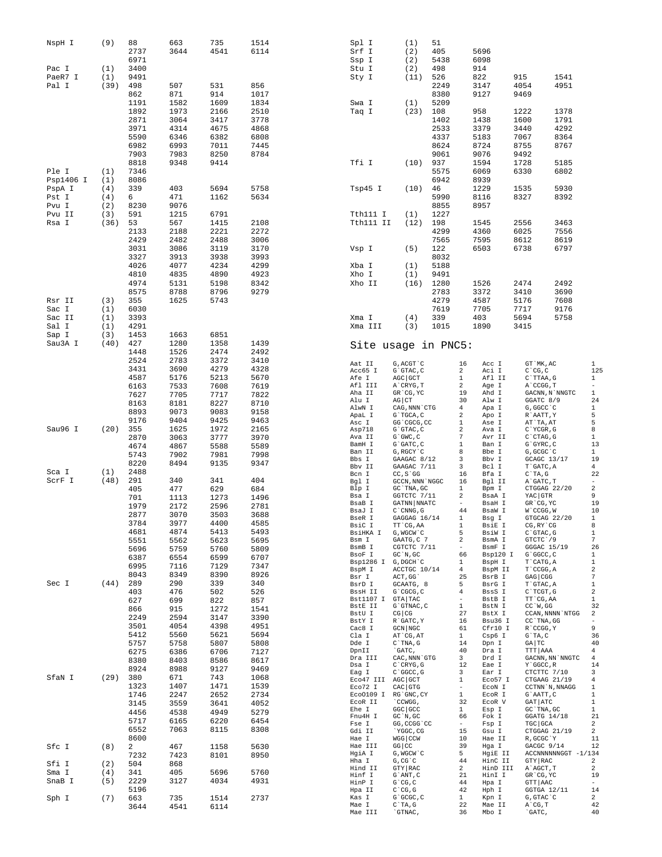| NspH I         | (9)        | 88           | 663          | 735          | 1514         | Spl I                           | (1)                                      | 51           |                    |                    |                                 |                                                   |                               |
|----------------|------------|--------------|--------------|--------------|--------------|---------------------------------|------------------------------------------|--------------|--------------------|--------------------|---------------------------------|---------------------------------------------------|-------------------------------|
|                |            | 2737<br>6971 | 3644         | 4541         | 6114         | Srf I<br>Ssp I                  | (2)<br>(2)                               | 405<br>5438  |                    | 5696<br>6098       |                                 |                                                   |                               |
| Pac I          | (1)        | 3400         |              |              |              | Stu I                           | (2)                                      | 498          |                    | 914                |                                 |                                                   |                               |
| PaeR7 I        | (1)        | 9491         |              |              |              | Sty I                           | (11)                                     | 526          |                    | 822                | 915                             | 1541                                              |                               |
| Pal I          | (39)       | 498          | 507          | 531          | 856          |                                 |                                          | 2249         |                    | 3147               | 4054                            | 4951                                              |                               |
|                |            | 862<br>1191  | 871<br>1582  | 914<br>1609  | 1017<br>1834 | Swa I                           | (1)                                      | 8380<br>5209 |                    | 9127               | 9469                            |                                                   |                               |
|                |            | 1892         | 1973         | 2166         | 2510         | Taq I                           | (23)                                     | 108          |                    | 958                | 1222                            | 1378                                              |                               |
|                |            | 2871         | 3064         | 3417         | 3778         |                                 |                                          | 1402         |                    | 1438               | 1600                            | 1791                                              |                               |
|                |            | 3971         | 4314         | 4675         | 4868         |                                 |                                          | 2533         |                    | 3379               | 3440                            | 4292                                              |                               |
|                |            | 5590         | 6346         | 6382         | 6808         |                                 |                                          | 4337         |                    | 5183               | 7067                            | 8364                                              |                               |
|                |            | 6982<br>7903 | 6993<br>7983 | 7011<br>8250 | 7445<br>8784 |                                 |                                          | 8624<br>9061 |                    | 8724<br>9076       | 8755<br>9492                    | 8767                                              |                               |
|                |            | 8818         | 9348         | 9414         |              | Tfi I                           | (10)                                     | 937          |                    | 1594               | 1728                            | 5185                                              |                               |
| Ple I          | (1)        | 7346         |              |              |              |                                 |                                          | 5575         |                    | 6069               | 6330                            | 6802                                              |                               |
| Psp1406 I      | (1)        | 8086         |              |              |              |                                 |                                          | 6942         |                    | 8939               |                                 |                                                   |                               |
| PspA I         | (4)        | 339          | 403          | 5694         | 5758         | Tsp45 I                         | (10)                                     | 46           |                    | 1229               | 1535                            | 5930                                              |                               |
| Pst I<br>Pvu I | (4)<br>(2) | 6<br>8230    | 471<br>9076  | 1162         | 5634         |                                 |                                          | 5990<br>8855 |                    | 8116<br>8957       | 8327                            | 8392                                              |                               |
| Pvu II         | (3)        | 591          | 1215         | 6791         |              | Tth111 I                        | (1)                                      | 1227         |                    |                    |                                 |                                                   |                               |
| Rsa I          | (36)       | 53           | 567          | 1415         | 2108         | Tth111 II                       | (12)                                     | 198          |                    | 1545               | 2556                            | 3463                                              |                               |
|                |            | 2133         | 2188         | 2221         | 2272         |                                 |                                          | 4299         |                    | 4360               | 6025                            | 7556                                              |                               |
|                |            | 2429         | 2482         | 2488         | 3006         |                                 |                                          | 7565         |                    | 7595<br>6503       | 8612                            | 8619                                              |                               |
|                |            | 3031<br>3327 | 3086<br>3913 | 3119<br>3938 | 3170<br>3993 | Vsp I                           | (5)                                      | 122<br>8032  |                    |                    | 6738                            | 6797                                              |                               |
|                |            | 4026         | 4077         | 4234         | 4299         | Xba I                           | (1)                                      | 5188         |                    |                    |                                 |                                                   |                               |
|                |            | 4810         | 4835         | 4890         | 4923         | Xho I                           | (1)                                      | 9491         |                    |                    |                                 |                                                   |                               |
|                |            | 4974         | 5131         | 5198         | 8342         | Xho II                          | (16)                                     | 1280         |                    | 1526               | 2474                            | 2492                                              |                               |
| Rsr II         |            | 8575         | 8788         | 8796         | 9279         |                                 |                                          | 2783         |                    | 3372               | 3410                            | 3690                                              |                               |
| Sac I          | (3)<br>(1) | 355<br>6030  | 1625         | 5743         |              |                                 |                                          | 4279<br>7619 |                    | 4587<br>7705       | 5176<br>7717                    | 7608<br>9176                                      |                               |
| Sac II         | (1)        | 3393         |              |              |              | Xma I                           | (4)                                      | 339          |                    | 403                | 5694                            | 5758                                              |                               |
| Sal I          | (1)        | 4291         |              |              |              | Xma III                         | (3)                                      | 1015         |                    | 1890               | 3415                            |                                                   |                               |
| Sap I          | (3)        | 1453         | 1663         | 6851         |              |                                 |                                          |              |                    |                    |                                 |                                                   |                               |
| Sau3A I        | (40)       | 427          | 1280         | 1358         | 1439         |                                 | Site usage in PNC5:                      |              |                    |                    |                                 |                                                   |                               |
|                |            | 1448<br>2524 | 1526<br>2783 | 2474<br>3372 | 2492<br>3410 |                                 |                                          |              |                    |                    |                                 |                                                   |                               |
|                |            | 3431         | 3690         | 4279         | 4328         | Aat II<br>Acc65 I               | G, ACGT `C<br>$G$ $GTAC$ , $C$           |              | 16<br>2            | Acc I<br>Aci I     | GT `MK, AC<br>$C^{\wedge}CG, C$ |                                                   | $\mathbf{1}$<br>125           |
|                |            | 4587         | 5176         | 5213         | 5670         | Afe I                           | AGC GCT                                  |              | $\mathbf{1}$       | Afl II             | C`TTAA, G                       |                                                   | 1                             |
|                |            | 6163         | 7533         | 7608         | 7619         | Afl III                         | A`CRYG, T                                |              | 2                  | Age I              | A`CCGG, T                       |                                                   | $\bar{ }$                     |
|                |            | 7627         | 7705         | 7717         | 7822         | Aha II<br>Alu I                 | GR CG, YC<br>$AG$ $CT$                   |              | 19<br>30           | Ahd I<br>Alw I     | GGATC 8/9                       | $\texttt{GACNN}$ , $\texttt{N}$ $\texttt{'NNGTC}$ | 1<br>24                       |
|                |            | 8163<br>8893 | 8181<br>9073 | 8227<br>9083 | 8710<br>9158 | AlwN I                          | CAG, NNN CTG                             |              | 4                  | Apa I              | G, GGCC `C                      |                                                   | $\mathbf{1}$                  |
|                |            | 9176         | 9404         | 9425         | 9463         | ApaL I<br>Asc I                 | G`TGCA, C<br>GG 'CGCG, CC                |              | 2<br>1             | Apo I<br>Ase I     | R`AATT, Y<br>AT`TA, AT          |                                                   | 5<br>5                        |
| Sau96 I        | (20)       | 355          | 1625         | 1972         | 2165         | Asp718                          | G`GTAC, C                                |              | 2                  | Ava I              | C`YCGR, G                       |                                                   | 8                             |
|                |            | 2870         | 3063         | 3777         | 3970         | Ava II                          | $G$ $GWC$ , $C$                          |              | 7                  | Avr II             | C`CTAG, G                       |                                                   | 1                             |
|                |            | 4674         | 4867         | 5588         | 5589         | BamH I<br>Ban II                | G`GATC, C<br>G, RGCY `C                  |              | 1<br>8             | Ban I<br>Bbe I     | G`GYRC, C<br>G, GCGC `C         |                                                   | 13<br>1                       |
|                |            | 5743<br>8220 | 7902<br>8494 | 7981<br>9135 | 7998<br>9347 | Bbs I                           | GAAGAC 8/12                              |              | 3                  | Bbv I              |                                 | GCAGC 13/17                                       | 19                            |
| Sca I          | (1)        | 2488         |              |              |              | Bbv II<br>Bcn I                 | GAAGAC 7/11<br>$CC, S$ GG                |              | 3<br>16            | Bcl I<br>Bfa I     | T`GATC, A<br>$C^T A$ , G        |                                                   | $\overline{4}$<br>22          |
| ScrF I         | (48)       | 291          | 340          | 341          | 404          | Bgl I                           | GCCN, NNN 'NGGC                          |              | 16                 | Bql II             | A`GATC, T                       |                                                   | $\qquad \qquad -$             |
|                |            | 405          | 477          | 629          | 684          | Blp I                           | GC `TNA, GC                              |              | 1                  | Bpm I              |                                 | CTGGAG 22/20                                      | $\,2$                         |
|                |            | 701          | 1113         | 1273         | 1496         | Bsa I<br>BsaB I                 | GGTCTC 7/11<br>GATNN NNATC               |              | 2<br>$\sim$        | BsaA I<br>BsaH I   | YAC GTR<br>GR CG, YC            |                                                   | 9<br>19                       |
|                |            | 1979<br>2877 | 2172<br>3070 | 2596<br>3503 | 2781<br>3688 | BsaJ I                          | $C$ $CMNG$ , $G$                         |              | 44                 | BsaW I             | W`CCGG, W                       |                                                   | 10                            |
|                |            | 3784         | 3977         | 4400         | 4585         | BseR I<br>BsiC I                | GAGGAG 16/14<br>TT `CG, AA               |              | $\mathbf{1}$<br>1  | Bsg I<br>BsiE I    | CG, RY `CG                      | GTGCAG 22/20                                      | $\mathbf{1}$<br>8             |
|                |            | 4681         | 4874         | 5413         | 5493         | BsiHKA I G, WGCW'C              |                                          |              | 5                  | BsiW I             | $C$ GTAC, $G$                   |                                                   | $\mathbf{1}$                  |
|                |            | 5551         | 5562         | 5623         | 5695         | Bsm I<br>BsmB I                 | GAATG, C 7<br>CGTCTC 7/11                |              | 2<br>$\sim$        | BsmA I<br>BsmF I   | GTCTC 19                        | GGGAC 15/19                                       | 7<br>26                       |
|                |            | 5696         | 5759         | 5760<br>6599 | 5809<br>6707 | BsoF I                          | $GC^N$ , $GC$                            |              | 66                 | Bsp120 I G'GGCC, C |                                 |                                                   | $\mathbf{1}$                  |
|                |            | 6387<br>6995 | 6554<br>7116 | 7129         | 7347         | Bsp1286 I G, DGCH'C             |                                          |              | $\mathbf{1}$       | BspH I             | T CATG, A                       |                                                   | $\mathbf{1}$                  |
|                |            | 8043         | 8349         | 8390         | 8926         | BspM I<br>Bsr I                 | ACCTGC 10/14<br>ACT, GG                  |              | $4 -$<br>25        | BspM II<br>BsrB I  | T`CCGG, A<br>GAG CGG            |                                                   | 2<br>7                        |
| Sec I          | (44)       | 289          | 290          | 339          | 340          | BsrD I                          | GCAATG, 8                                |              | 5                  | BsrG I             | T`GTAC, A                       |                                                   | 1                             |
|                |            | 403          | 476          | 502          | 526          | BssH II<br>Bst1107 I GTA TAC    | G`CGCG, C                                |              | 4                  | BssS I<br>BstB I   | C`TCGT, G<br>TT `CG, AA         |                                                   | $\,2$<br>$\mathbf{1}$         |
|                |            | 627<br>866   | 699<br>915   | 822<br>1272  | 857<br>1541  | BstE II                         | G`GTNAC, C                               |              | $\mathbf{1}$       | BstN I             | $CC^W$ , GG                     |                                                   | 32                            |
|                |            | 2249         | 2594         | 3147         | 3390         | BstU I                          | $CG$ $CG$                                |              | 27<br>16           | BstX I             |                                 | CCAN, NNNN`NTGG                                   | 2<br>$\overline{\phantom{a}}$ |
|                |            | 3501         | 4054         | 4398         | 4951         | BstY I<br>Cac8 I                | R GATC, Y<br>GCN NGC                     |              | 61                 | Bsu36 I<br>Cfr10 I | CC `TNA, GG<br>R`CCGG, Y        |                                                   | 9                             |
|                |            | 5412         | 5560         | 5621         | 5694         | Cla I                           | AT CG, AT                                |              | 1                  | Csp6 I             | $G$ TA, $C$                     |                                                   | 36                            |
|                |            | 5757         | 5758         | 5807         | 5808         | Dde I<br>DpnII                  | $C^{\dagger}$ TNA, G<br>`GATC,           |              | 14<br>40           | Dpn I<br>Dra I     | GA TC<br>TTT AAA                |                                                   | 40<br>4                       |
|                |            | 6275<br>8380 | 6386<br>8403 | 6706<br>8586 | 7127<br>8617 | Dra III                         | ${\rm CAC}$ , ${\rm NNN}$ $\hat{}\;$ GTG |              | $\mathbf{3}$       | Drd I              |                                 | GACNN, NN `NNGTC                                  | 4                             |
|                |            | 8924         | 8988         | 9127         | 9469         | Dsa I                           | $C$ $CRYG$ , $G$                         |              | 12 <sub>2</sub>    | Eae I              | Y`GGCC, R                       |                                                   | 14<br>3                       |
| SfaN I         | $(29)$ 380 |              | 671          | 743          | 1068         | Eag I<br>Eco47 III AGC GCT      | $C$ $GC$ , $G$                           |              | 3<br>$\mathbf{1}$  | Ear I<br>Eco57 I   |                                 | CTCTTC 7/10<br>CTGAAG 21/19                       | 4                             |
|                |            | 1323         | 1407         | 1471         | 1539         | Eco72 I                         | $CAC$ GTG                                |              | $\sim$             | ECON I             |                                 | CCTNN`N, NNAGG                                    | 1                             |
|                |            | 1746         | 2247         | 2652         | 2734         | Eco0109 I RG'GNC, CY<br>ECOR II | CCWGG,                                   |              | $\mathbf{1}$<br>32 | ECOR I<br>ECOR V   | G`AATT, C<br>GAT ATC            |                                                   | 1<br>$\mathbf{1}$             |
|                |            | 3145<br>4456 | 3559<br>4538 | 3641<br>4949 | 4052<br>5279 | Ehe I                           | $GGC$ $GCC$                              |              | $\mathbf{1}$       | Esp I              |                                 | GC`TNA, GC                                        | 1                             |
|                |            | 5717         | 6165         | 6220         | 6454         | Fnu4H I                         | $GC^N$ , $GC$                            |              | 66<br>$\sim$       | Fok I              |                                 | GGATG 14/18                                       | 21                            |
|                |            | 6552         | 7063         | 8115         | 8308         | Fse I<br>Gdi II                 | GG, CCGG 'CC<br>`YGGC, CG                |              | 15                 | Fsp I<br>Gsu I     | TGC GCA                         | CTGGAG 21/19                                      | 2<br>2                        |
|                |            | 8600         |              |              |              | Hae I                           | $WGG$ $CCW$                              |              | 10                 | Hae II             | R, GCGC`Y                       |                                                   | 11                            |
| Sfc I          | (8)        | $\mathbf{2}$ | 467          | 1158         | 5630         | Hae III<br>HgiA I               | $GG$ $CC$<br>G, WGCW`C                   |              | 39<br>$5 -$        | Hqa I<br>HgiE II   |                                 | GACGC 9/14<br>ACCNNNNNNGGT -1/134                 | 12                            |
| Sfi I          | (2)        | 7232<br>504  | 7423<br>868  | 8101         | 8950         | Hha I                           | G, CG, C                                 |              | 44                 | HinC II            | GTY RAC                         |                                                   | 2                             |
| Sma I          | (4)        | 341          | 405          | 5696         | 5760         | Hind II                         | GTY RAC                                  |              | $\mathbf{2}$       | HinD III           | A`AGCT, T                       |                                                   | 2                             |
| SnaB I         | (5)        | 2229         | 3127         | 4034         | 4931         | Hinf I<br>HinP I                | G`ANT, C<br>$G^{\wedge}CG, C$            |              | 21<br>44           | HinI I<br>Hpa I    | GR CG, YC<br>GTT AAC            |                                                   | 19<br>$\sim$                  |
|                |            | 5196         |              |              |              | Hpa II                          | $C^{\wedge}CG$ , $G$                     |              | 42                 | Hph I              |                                 | GGTGA 12/11                                       | 14                            |
| Sph I          | (7)        | 663          | 735          | 1514         | 2737         | Kas I                           | G`GCGC, C                                |              | $\mathbf{1}$<br>22 | Kpn I              | G, GTAC `C                      |                                                   | $\overline{a}$<br>42          |
|                |            | 3644         | 4541         | 6114         |              | Mae I<br>Mae III                | $C^T A, G$<br>`GTNAC,                    |              | 36                 | Mae II<br>Mbo I    | A`CG, T<br>`GATC,               |                                                   | 40                            |